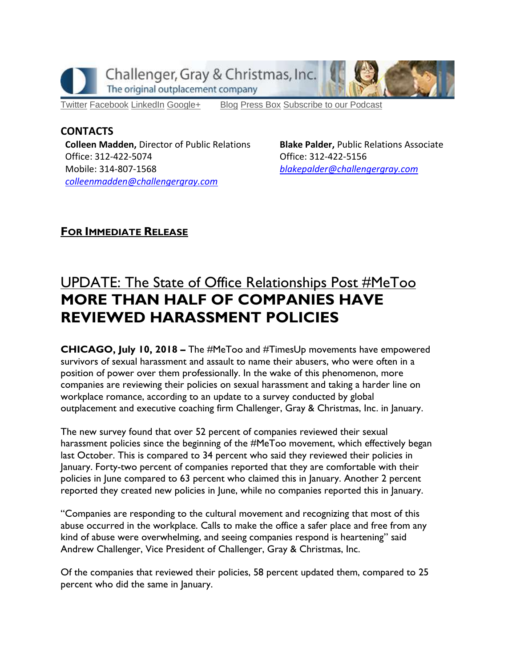

[Twitter](https://twitter.com/#!/ChallengerGray) [Facebook](https://www.facebook.com/ChallengerGray) [LinkedIn](http://www.linkedin.com/company/28264?trk=tyah) [Google+](https://plus.google.com/b/114363499979264115698/114363499979264115698) [Blog](http://www.challengergray.com/press/blog) [Press](http://www.challengergray.com/press/press-releases) Box [Subscribe](https://itunes.apple.com/us/podcast/challenger-podcast-hr-passport/id1155541697?mt=2) to our Podcast

### **CONTACTS**

**Colleen Madden,** Director of Public Relations Office: 312-422-5074 Mobile: 314-807-1568 *[colleenmadden@challengergray.com](mailto:colleenmadden@challengergray.com)* 

**Blake Palder,** Public Relations Associate Office: 312-422-5156 *[blakepalder@challengergray.com](mailto:blakepalder@challengergray.com)*

# **FOR IMMEDIATE RELEASE**

# UPDATE: The State of Office Relationships Post #MeToo **MORE THAN HALF OF COMPANIES HAVE REVIEWED HARASSMENT POLICIES**

**CHICAGO, July 10, 2018 –** The #MeToo and #TimesUp movements have empowered survivors of sexual harassment and assault to name their abusers, who were often in a position of power over them professionally. In the wake of this phenomenon, more companies are reviewing their policies on sexual harassment and taking a harder line on workplace romance, according to an update to a survey conducted by global outplacement and executive coaching firm Challenger, Gray & Christmas, Inc. in January.

The new survey found that over 52 percent of companies reviewed their sexual harassment policies since the beginning of the #MeToo movement, which effectively began last October. This is compared to 34 percent who said they reviewed their policies in January. Forty-two percent of companies reported that they are comfortable with their policies in June compared to 63 percent who claimed this in January. Another 2 percent reported they created new policies in June, while no companies reported this in January.

"Companies are responding to the cultural movement and recognizing that most of this abuse occurred in the workplace. Calls to make the office a safer place and free from any kind of abuse were overwhelming, and seeing companies respond is heartening" said Andrew Challenger, Vice President of Challenger, Gray & Christmas, Inc.

Of the companies that reviewed their policies, 58 percent updated them, compared to 25 percent who did the same in January.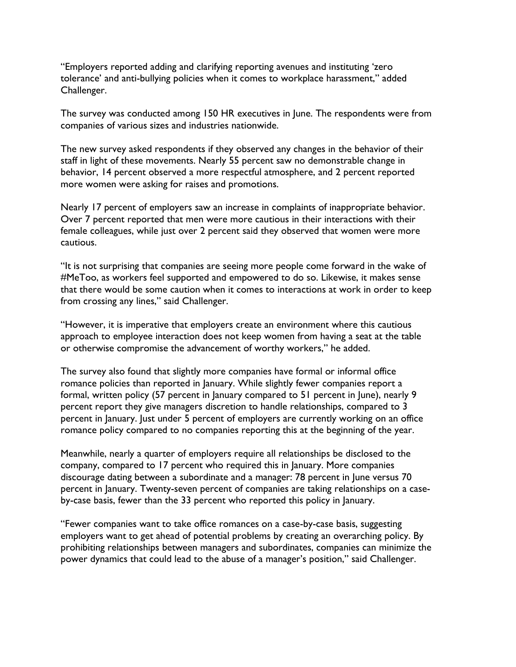"Employers reported adding and clarifying reporting avenues and instituting 'zero tolerance' and anti-bullying policies when it comes to workplace harassment," added Challenger.

The survey was conducted among 150 HR executives in June. The respondents were from companies of various sizes and industries nationwide.

The new survey asked respondents if they observed any changes in the behavior of their staff in light of these movements. Nearly 55 percent saw no demonstrable change in behavior, 14 percent observed a more respectful atmosphere, and 2 percent reported more women were asking for raises and promotions.

Nearly 17 percent of employers saw an increase in complaints of inappropriate behavior. Over 7 percent reported that men were more cautious in their interactions with their female colleagues, while just over 2 percent said they observed that women were more cautious.

"It is not surprising that companies are seeing more people come forward in the wake of #MeToo, as workers feel supported and empowered to do so. Likewise, it makes sense that there would be some caution when it comes to interactions at work in order to keep from crossing any lines," said Challenger.

"However, it is imperative that employers create an environment where this cautious approach to employee interaction does not keep women from having a seat at the table or otherwise compromise the advancement of worthy workers," he added.

The survey also found that slightly more companies have formal or informal office romance policies than reported in January. While slightly fewer companies report a formal, written policy (57 percent in January compared to 51 percent in June), nearly 9 percent report they give managers discretion to handle relationships, compared to 3 percent in January. Just under 5 percent of employers are currently working on an office romance policy compared to no companies reporting this at the beginning of the year.

Meanwhile, nearly a quarter of employers require all relationships be disclosed to the company, compared to 17 percent who required this in January. More companies discourage dating between a subordinate and a manager: 78 percent in June versus 70 percent in January. Twenty-seven percent of companies are taking relationships on a caseby-case basis, fewer than the 33 percent who reported this policy in January.

"Fewer companies want to take office romances on a case-by-case basis, suggesting employers want to get ahead of potential problems by creating an overarching policy. By prohibiting relationships between managers and subordinates, companies can minimize the power dynamics that could lead to the abuse of a manager's position," said Challenger.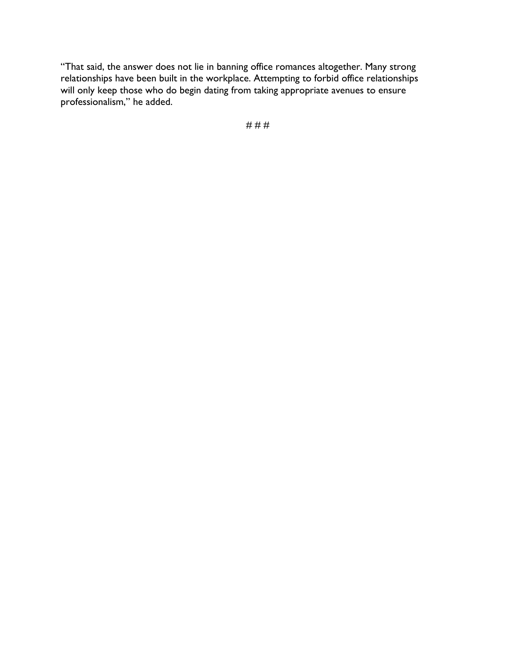"That said, the answer does not lie in banning office romances altogether. Many strong relationships have been built in the workplace. Attempting to forbid office relationships will only keep those who do begin dating from taking appropriate avenues to ensure professionalism," he added.

# # #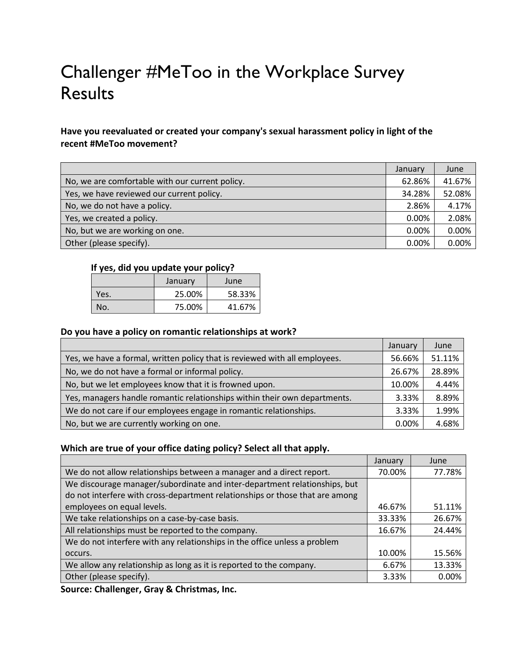# Challenger #MeToo in the Workplace Survey Results

## **Have you reevaluated or created your company's sexual harassment policy in light of the recent #MeToo movement?**

|                                                 | January | June   |
|-------------------------------------------------|---------|--------|
| No, we are comfortable with our current policy. | 62.86%  | 41.67% |
| Yes, we have reviewed our current policy.       | 34.28%  | 52.08% |
| No, we do not have a policy.                    | 2.86%   | 4.17%  |
| Yes, we created a policy.                       | 0.00%   | 2.08%  |
| No, but we are working on one.                  | 0.00%   | 0.00%  |
| Other (please specify).                         | 0.00%   | 0.00%  |

#### **If yes, did you update your policy?**

|      | January | June   |
|------|---------|--------|
| Yes. | 25.00%  | 58.33% |
| No.  | 75.00%  | 41.67% |

#### **Do you have a policy on romantic relationships at work?**

|                                                                            | January  | June   |
|----------------------------------------------------------------------------|----------|--------|
| Yes, we have a formal, written policy that is reviewed with all employees. | 56.66%   | 51.11% |
| No, we do not have a formal or informal policy.                            | 26.67%   | 28.89% |
| No, but we let employees know that it is frowned upon.                     | 10.00%   | 4.44%  |
| Yes, managers handle romantic relationships within their own departments.  | 3.33%    | 8.89%  |
| We do not care if our employees engage in romantic relationships.          | 3.33%    | 1.99%  |
| No, but we are currently working on one.                                   | $0.00\%$ | 4.68%  |

#### **Which are true of your office dating policy? Select all that apply.**

|                                                                              | January | June   |
|------------------------------------------------------------------------------|---------|--------|
| We do not allow relationships between a manager and a direct report.         | 70.00%  | 77.78% |
| We discourage manager/subordinate and inter-department relationships, but    |         |        |
| do not interfere with cross-department relationships or those that are among |         |        |
| employees on equal levels.                                                   | 46.67%  | 51.11% |
| We take relationships on a case-by-case basis.                               | 33.33%  | 26.67% |
| All relationships must be reported to the company.                           | 16.67%  | 24.44% |
| We do not interfere with any relationships in the office unless a problem    |         |        |
| occurs.                                                                      | 10.00%  | 15.56% |
| We allow any relationship as long as it is reported to the company.          | 6.67%   | 13.33% |
| Other (please specify).                                                      | 3.33%   | 0.00%  |

**Source: Challenger, Gray & Christmas, Inc.**